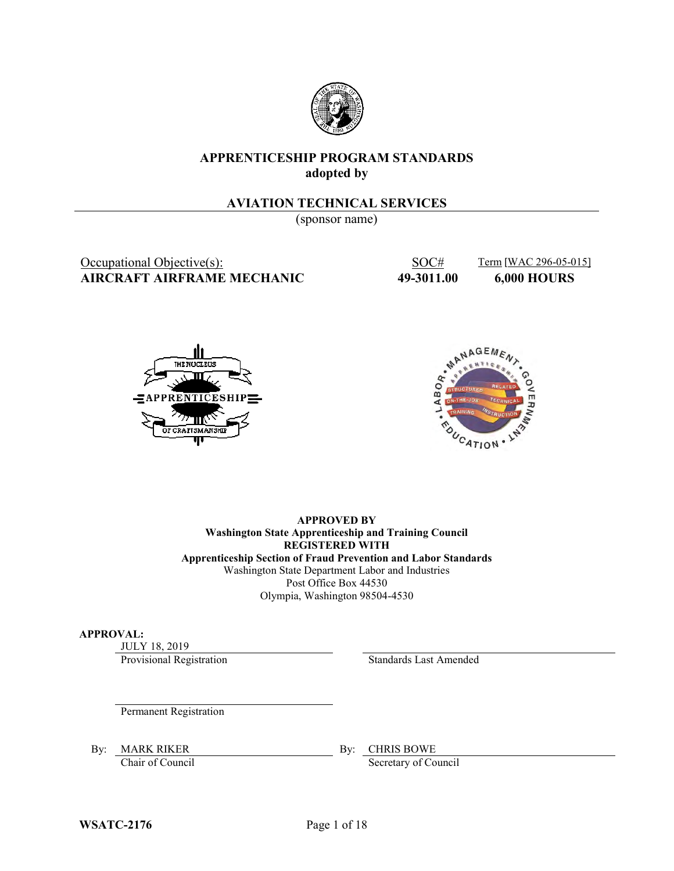

### **APPRENTICESHIP PROGRAM STANDARDS adopted by**

#### **AVIATION TECHNICAL SERVICES**

(sponsor name)

Occupational Objective(s): SOC# Term [WAC 296-05-015] **AIRCRAFT AIRFRAME MECHANIC 49-3011.00 6,000 HOURS**





**APPROVED BY Washington State Apprenticeship and Training Council REGISTERED WITH Apprenticeship Section of Fraud Prevention and Labor Standards** Washington State Department Labor and Industries Post Office Box 44530 Olympia, Washington 98504-4530

#### **APPROVAL:**

JULY 18, 2019

Provisional Registration Standards Last Amended

Permanent Registration

By: MARK RIKER By: CHRIS BOWE

Chair of Council Secretary of Council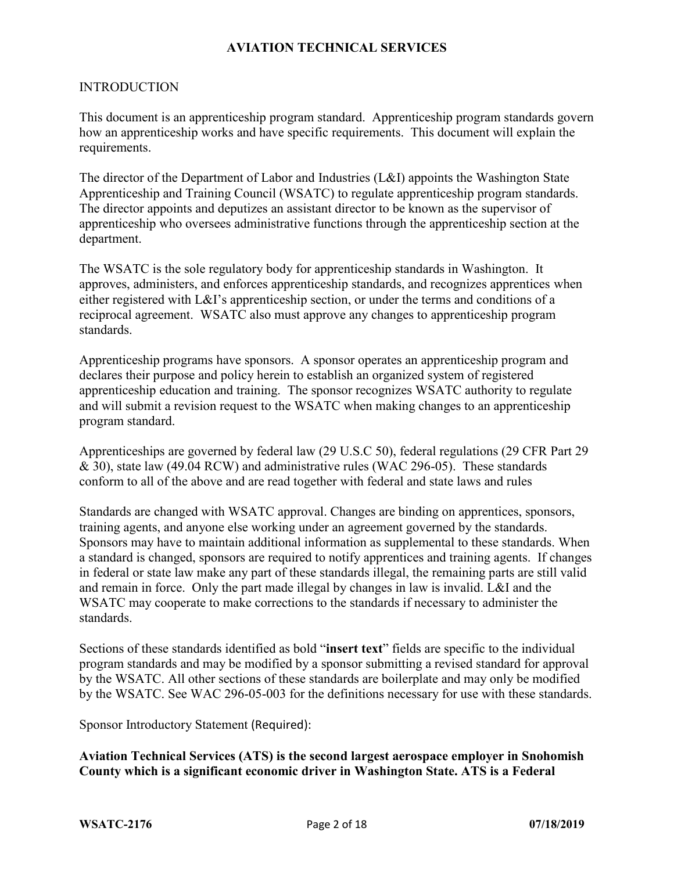#### INTRODUCTION

This document is an apprenticeship program standard. Apprenticeship program standards govern how an apprenticeship works and have specific requirements. This document will explain the requirements.

The director of the Department of Labor and Industries (L&I) appoints the Washington State Apprenticeship and Training Council (WSATC) to regulate apprenticeship program standards. The director appoints and deputizes an assistant director to be known as the supervisor of apprenticeship who oversees administrative functions through the apprenticeship section at the department.

The WSATC is the sole regulatory body for apprenticeship standards in Washington. It approves, administers, and enforces apprenticeship standards, and recognizes apprentices when either registered with L&I's apprenticeship section, or under the terms and conditions of a reciprocal agreement. WSATC also must approve any changes to apprenticeship program standards.

Apprenticeship programs have sponsors. A sponsor operates an apprenticeship program and declares their purpose and policy herein to establish an organized system of registered apprenticeship education and training. The sponsor recognizes WSATC authority to regulate and will submit a revision request to the WSATC when making changes to an apprenticeship program standard.

Apprenticeships are governed by federal law (29 U.S.C 50), federal regulations (29 CFR Part 29 & 30), state law (49.04 RCW) and administrative rules (WAC 296-05). These standards conform to all of the above and are read together with federal and state laws and rules

Standards are changed with WSATC approval. Changes are binding on apprentices, sponsors, training agents, and anyone else working under an agreement governed by the standards. Sponsors may have to maintain additional information as supplemental to these standards. When a standard is changed, sponsors are required to notify apprentices and training agents. If changes in federal or state law make any part of these standards illegal, the remaining parts are still valid and remain in force. Only the part made illegal by changes in law is invalid. L&I and the WSATC may cooperate to make corrections to the standards if necessary to administer the standards.

Sections of these standards identified as bold "**insert text**" fields are specific to the individual program standards and may be modified by a sponsor submitting a revised standard for approval by the WSATC. All other sections of these standards are boilerplate and may only be modified by the WSATC. See WAC 296-05-003 for the definitions necessary for use with these standards.

Sponsor Introductory Statement (Required):

**Aviation Technical Services (ATS) is the second largest aerospace employer in Snohomish County which is a significant economic driver in Washington State. ATS is a Federal**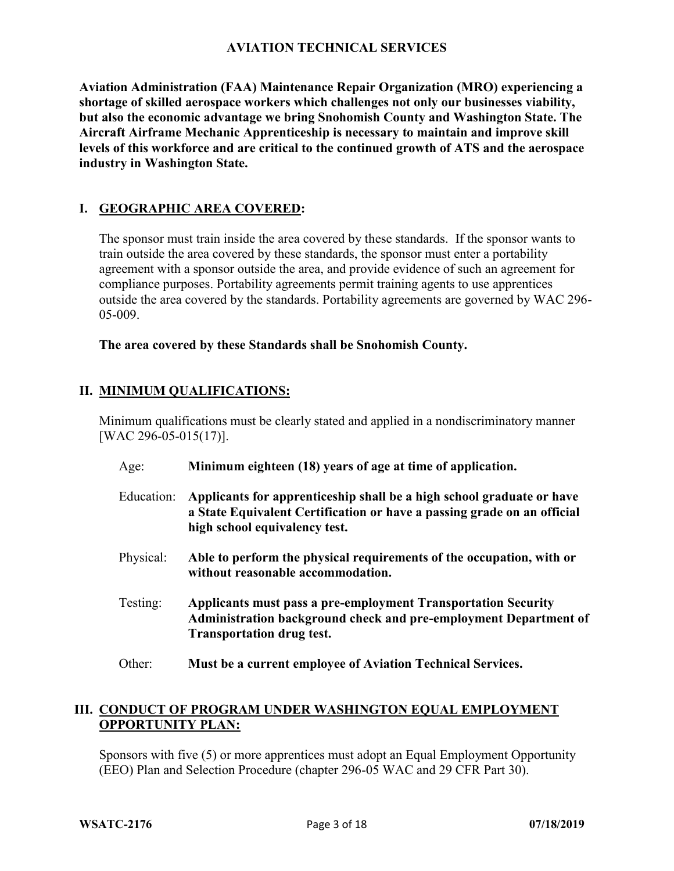**Aviation Administration (FAA) Maintenance Repair Organization (MRO) experiencing a shortage of skilled aerospace workers which challenges not only our businesses viability, but also the economic advantage we bring Snohomish County and Washington State. The Aircraft Airframe Mechanic Apprenticeship is necessary to maintain and improve skill levels of this workforce and are critical to the continued growth of ATS and the aerospace industry in Washington State.**

## **I. GEOGRAPHIC AREA COVERED:**

The sponsor must train inside the area covered by these standards. If the sponsor wants to train outside the area covered by these standards, the sponsor must enter a portability agreement with a sponsor outside the area, and provide evidence of such an agreement for compliance purposes. Portability agreements permit training agents to use apprentices outside the area covered by the standards. Portability agreements are governed by WAC 296- 05-009.

**The area covered by these Standards shall be Snohomish County.**

## **II. MINIMUM QUALIFICATIONS:**

Minimum qualifications must be clearly stated and applied in a nondiscriminatory manner [WAC 296-05-015(17)].

Age: **Minimum eighteen (18) years of age at time of application.** Education: **Applicants for apprenticeship shall be a high school graduate or have a State Equivalent Certification or have a passing grade on an official high school equivalency test.** Physical: **Able to perform the physical requirements of the occupation, with or without reasonable accommodation.** Testing: **Applicants must pass a pre-employment Transportation Security Administration background check and pre-employment Department of Transportation drug test.** Other: **Must be a current employee of Aviation Technical Services.**

## **III. CONDUCT OF PROGRAM UNDER WASHINGTON EQUAL EMPLOYMENT OPPORTUNITY PLAN:**

Sponsors with five (5) or more apprentices must adopt an Equal Employment Opportunity (EEO) Plan and Selection Procedure (chapter 296-05 WAC and 29 CFR Part 30).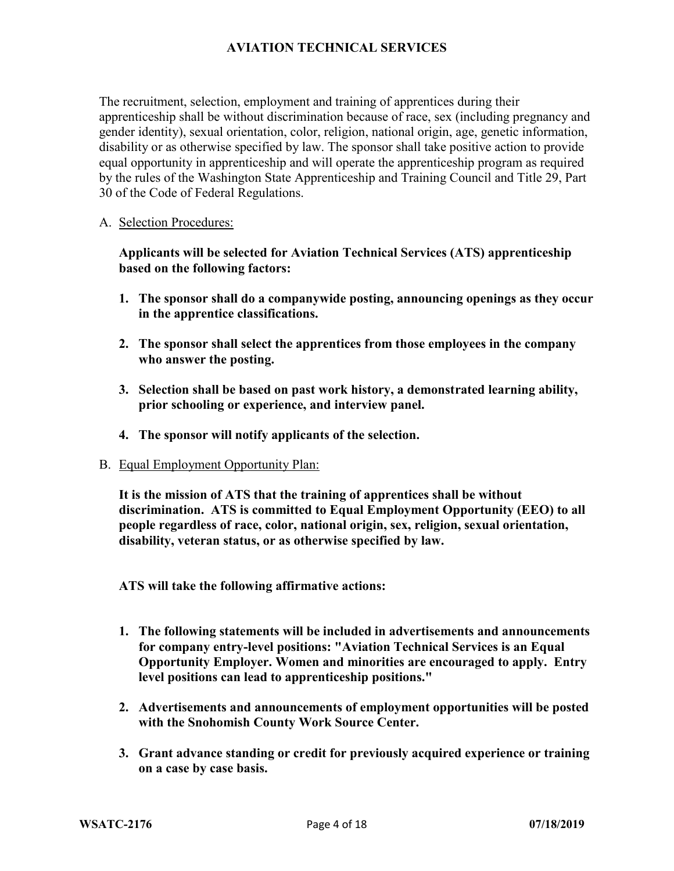The recruitment, selection, employment and training of apprentices during their apprenticeship shall be without discrimination because of race, sex (including pregnancy and gender identity), sexual orientation, color, religion, national origin, age, genetic information, disability or as otherwise specified by law. The sponsor shall take positive action to provide equal opportunity in apprenticeship and will operate the apprenticeship program as required by the rules of the Washington State Apprenticeship and Training Council and Title 29, Part 30 of the Code of Federal Regulations.

#### A. Selection Procedures:

**Applicants will be selected for Aviation Technical Services (ATS) apprenticeship based on the following factors:**

- **1. The sponsor shall do a companywide posting, announcing openings as they occur in the apprentice classifications.**
- **2. The sponsor shall select the apprentices from those employees in the company who answer the posting.**
- **3. Selection shall be based on past work history, a demonstrated learning ability, prior schooling or experience, and interview panel.**
- **4. The sponsor will notify applicants of the selection.**
- B. Equal Employment Opportunity Plan:

**It is the mission of ATS that the training of apprentices shall be without discrimination. ATS is committed to Equal Employment Opportunity (EEO) to all people regardless of race, color, national origin, sex, religion, sexual orientation, disability, veteran status, or as otherwise specified by law.** 

**ATS will take the following affirmative actions:** 

- **1. The following statements will be included in advertisements and announcements for company entry-level positions: "Aviation Technical Services is an Equal Opportunity Employer. Women and minorities are encouraged to apply. Entry level positions can lead to apprenticeship positions."**
- **2. Advertisements and announcements of employment opportunities will be posted with the Snohomish County Work Source Center.**
- **3. Grant advance standing or credit for previously acquired experience or training on a case by case basis.**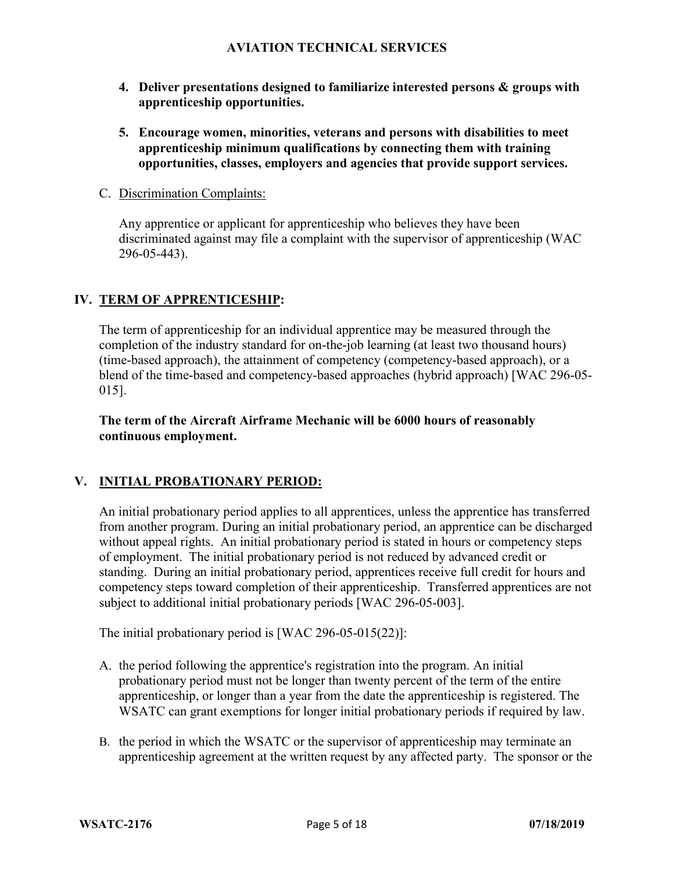- **4. Deliver presentations designed to familiarize interested persons & groups with apprenticeship opportunities.**
- **5. Encourage women, minorities, veterans and persons with disabilities to meet apprenticeship minimum qualifications by connecting them with training opportunities, classes, employers and agencies that provide support services.**
- C. Discrimination Complaints:

Any apprentice or applicant for apprenticeship who believes they have been discriminated against may file a complaint with the supervisor of apprenticeship (WAC 296-05-443).

## **IV. TERM OF APPRENTICESHIP:**

The term of apprenticeship for an individual apprentice may be measured through the completion of the industry standard for on-the-job learning (at least two thousand hours) (time-based approach), the attainment of competency (competency-based approach), or a blend of the time-based and competency-based approaches (hybrid approach) [WAC 296-05- 015].

**The term of the Aircraft Airframe Mechanic will be 6000 hours of reasonably continuous employment.**

## **V. INITIAL PROBATIONARY PERIOD:**

An initial probationary period applies to all apprentices, unless the apprentice has transferred from another program. During an initial probationary period, an apprentice can be discharged without appeal rights. An initial probationary period is stated in hours or competency steps of employment. The initial probationary period is not reduced by advanced credit or standing. During an initial probationary period, apprentices receive full credit for hours and competency steps toward completion of their apprenticeship. Transferred apprentices are not subject to additional initial probationary periods [WAC 296-05-003].

The initial probationary period is [WAC 296-05-015(22)]:

- A. the period following the apprentice's registration into the program. An initial probationary period must not be longer than twenty percent of the term of the entire apprenticeship, or longer than a year from the date the apprenticeship is registered. The WSATC can grant exemptions for longer initial probationary periods if required by law.
- B. the period in which the WSATC or the supervisor of apprenticeship may terminate an apprenticeship agreement at the written request by any affected party. The sponsor or the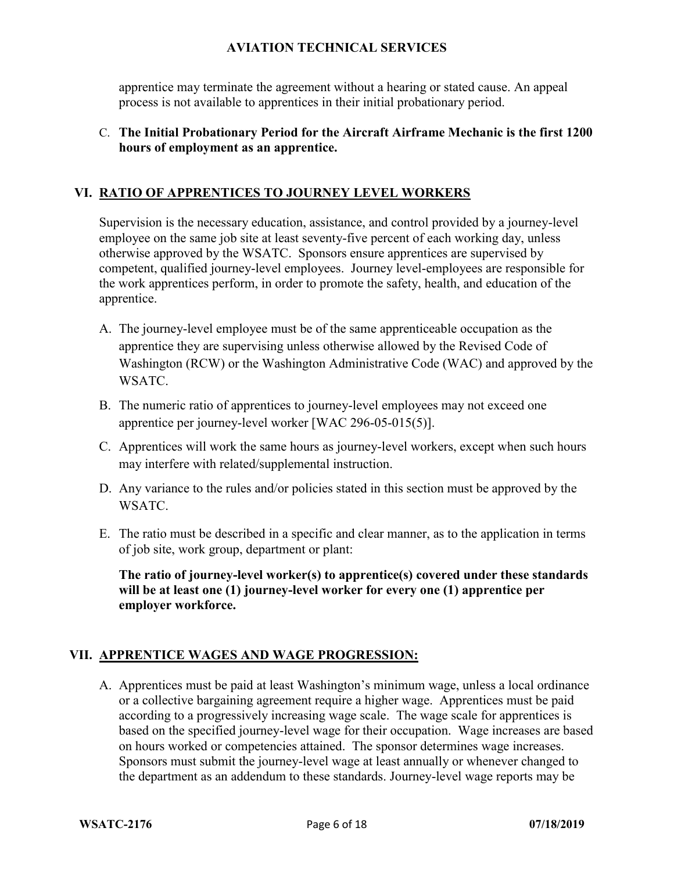apprentice may terminate the agreement without a hearing or stated cause. An appeal process is not available to apprentices in their initial probationary period.

#### C. **The Initial Probationary Period for the Aircraft Airframe Mechanic is the first 1200 hours of employment as an apprentice.**

### **VI. RATIO OF APPRENTICES TO JOURNEY LEVEL WORKERS**

Supervision is the necessary education, assistance, and control provided by a journey-level employee on the same job site at least seventy-five percent of each working day, unless otherwise approved by the WSATC. Sponsors ensure apprentices are supervised by competent, qualified journey-level employees. Journey level-employees are responsible for the work apprentices perform, in order to promote the safety, health, and education of the apprentice.

- A. The journey-level employee must be of the same apprenticeable occupation as the apprentice they are supervising unless otherwise allowed by the Revised Code of Washington (RCW) or the Washington Administrative Code (WAC) and approved by the WSATC.
- B. The numeric ratio of apprentices to journey-level employees may not exceed one apprentice per journey-level worker [WAC 296-05-015(5)].
- C. Apprentices will work the same hours as journey-level workers, except when such hours may interfere with related/supplemental instruction.
- D. Any variance to the rules and/or policies stated in this section must be approved by the WSATC.
- E. The ratio must be described in a specific and clear manner, as to the application in terms of job site, work group, department or plant:

**The ratio of journey-level worker(s) to apprentice(s) covered under these standards will be at least one (1) journey-level worker for every one (1) apprentice per employer workforce.**

#### **VII. APPRENTICE WAGES AND WAGE PROGRESSION:**

A. Apprentices must be paid at least Washington's minimum wage, unless a local ordinance or a collective bargaining agreement require a higher wage. Apprentices must be paid according to a progressively increasing wage scale. The wage scale for apprentices is based on the specified journey-level wage for their occupation. Wage increases are based on hours worked or competencies attained. The sponsor determines wage increases. Sponsors must submit the journey-level wage at least annually or whenever changed to the department as an addendum to these standards. Journey-level wage reports may be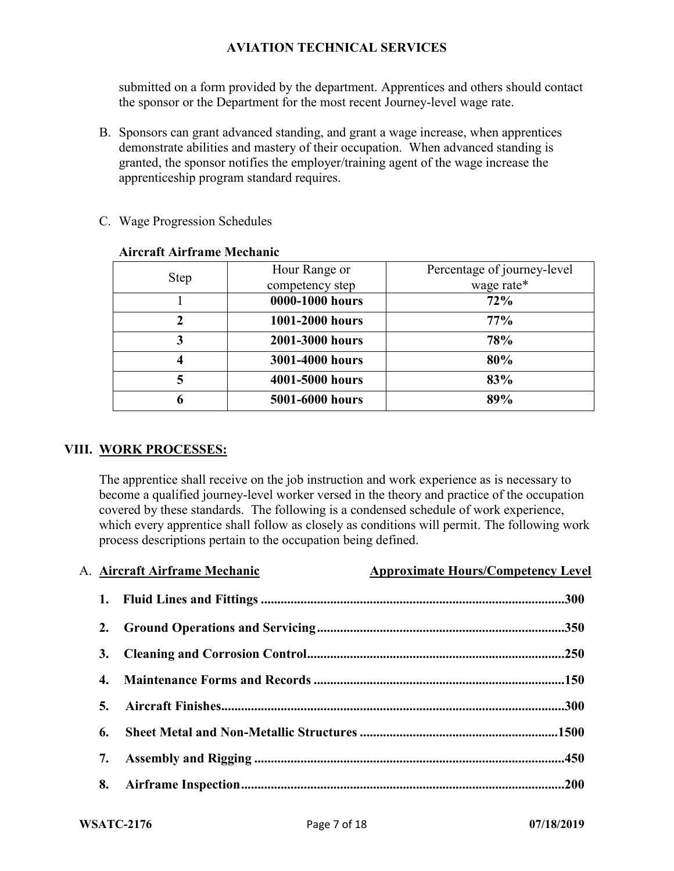submitted on a form provided by the department. Apprentices and others should contact the sponsor or the Department for the most recent Journey-level wage rate.

B. Sponsors can grant advanced standing, and grant a wage increase, when apprentices demonstrate abilities and mastery of their occupation. When advanced standing is granted, the sponsor notifies the employer/training agent of the wage increase the apprenticeship program standard requires.

| <b>Step</b> | Hour Range or   | Percentage of journey-level |
|-------------|-----------------|-----------------------------|
|             | competency step | wage rate*                  |
|             | 0000-1000 hours | 72%                         |
|             | 1001-2000 hours | 77%                         |
| 3           | 2001-3000 hours | 78%                         |
|             | 3001-4000 hours | 80%                         |
|             | 4001-5000 hours | 83%                         |
| 6           | 5001-6000 hours | 89%                         |

### C. Wage Progression Schedules

**Aircraft Airframe Mechanic**

## **VIII. WORK PROCESSES:**

The apprentice shall receive on the job instruction and work experience as is necessary to become a qualified journey-level worker versed in the theory and practice of the occupation covered by these standards. The following is a condensed schedule of work experience, which every apprentice shall follow as closely as conditions will permit. The following work process descriptions pertain to the occupation being defined.

A. **Aircraft Airframe Mechanic Approximate Hours/Competency Level** 

| 1. |  |
|----|--|
| 2. |  |
| 3. |  |
| 4. |  |
| 5. |  |
| 6. |  |
| 7. |  |
| 8. |  |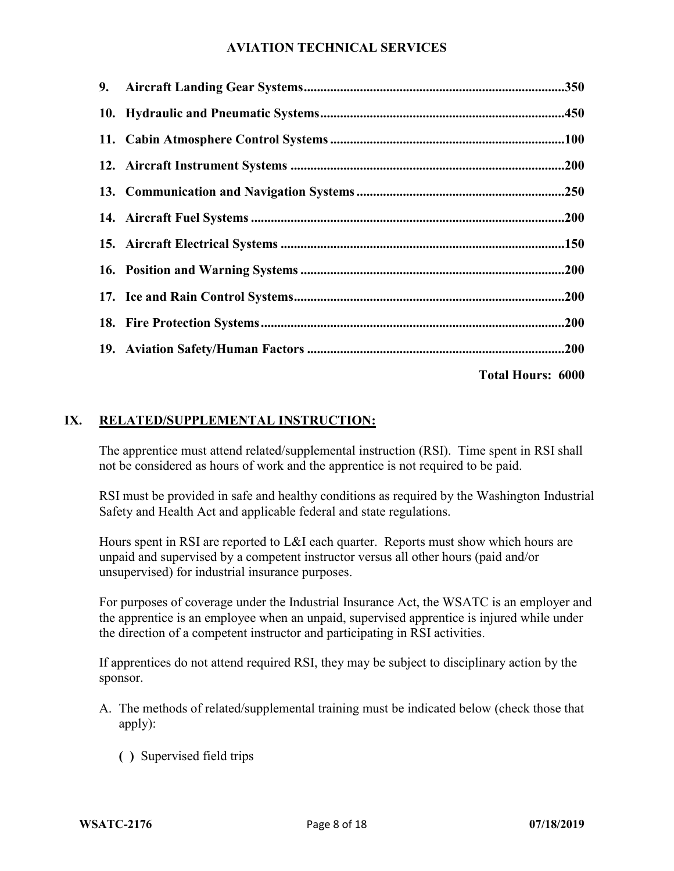| <b>Total Hours: 6000</b> |
|--------------------------|

# **IX. RELATED/SUPPLEMENTAL INSTRUCTION:**

The apprentice must attend related/supplemental instruction (RSI). Time spent in RSI shall not be considered as hours of work and the apprentice is not required to be paid.

RSI must be provided in safe and healthy conditions as required by the Washington Industrial Safety and Health Act and applicable federal and state regulations.

Hours spent in RSI are reported to L&I each quarter. Reports must show which hours are unpaid and supervised by a competent instructor versus all other hours (paid and/or unsupervised) for industrial insurance purposes.

For purposes of coverage under the Industrial Insurance Act, the WSATC is an employer and the apprentice is an employee when an unpaid, supervised apprentice is injured while under the direction of a competent instructor and participating in RSI activities.

If apprentices do not attend required RSI, they may be subject to disciplinary action by the sponsor.

- A. The methods of related/supplemental training must be indicated below (check those that apply):
	- **( )** Supervised field trips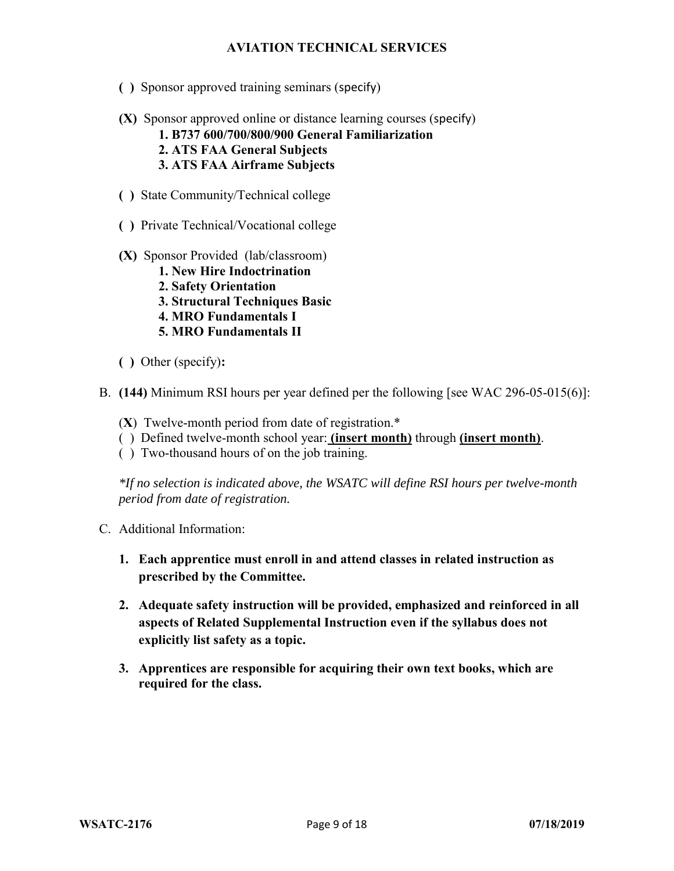- **( )** Sponsor approved training seminars (specify)
- **(X)** Sponsor approved online or distance learning courses (specify)
	- **1. B737 600/700/800/900 General Familiarization**
	- **2. ATS FAA General Subjects**
	- **3. ATS FAA Airframe Subjects**
- **( )** State Community/Technical college
- **( )** Private Technical/Vocational college
- **(X)** Sponsor Provided (lab/classroom)
	- **1. New Hire Indoctrination**
	- **2. Safety Orientation**
	- **3. Structural Techniques Basic**
	- **4. MRO Fundamentals I**
	- **5. MRO Fundamentals II**
- **( )** Other (specify)**:**
- B. **(144)** Minimum RSI hours per year defined per the following [see WAC 296-05-015(6)]:
	- (**X**) Twelve-month period from date of registration.\*
	- ( ) Defined twelve-month school year: **(insert month)** through **(insert month)**.
	- ( ) Two-thousand hours of on the job training.

*\*If no selection is indicated above, the WSATC will define RSI hours per twelve-month period from date of registration.*

- C. Additional Information:
	- **1. Each apprentice must enroll in and attend classes in related instruction as prescribed by the Committee.**
	- **2. Adequate safety instruction will be provided, emphasized and reinforced in all aspects of Related Supplemental Instruction even if the syllabus does not explicitly list safety as a topic.**
	- **3. Apprentices are responsible for acquiring their own text books, which are required for the class.**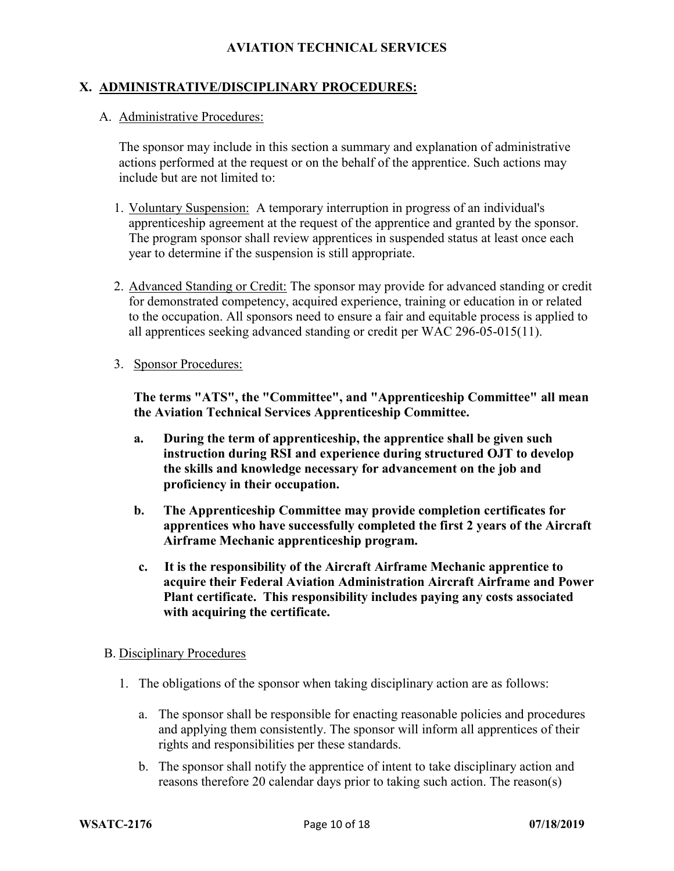### **X. ADMINISTRATIVE/DISCIPLINARY PROCEDURES:**

#### A. Administrative Procedures:

The sponsor may include in this section a summary and explanation of administrative actions performed at the request or on the behalf of the apprentice. Such actions may include but are not limited to:

- 1. Voluntary Suspension: A temporary interruption in progress of an individual's apprenticeship agreement at the request of the apprentice and granted by the sponsor. The program sponsor shall review apprentices in suspended status at least once each year to determine if the suspension is still appropriate.
- 2. Advanced Standing or Credit: The sponsor may provide for advanced standing or credit for demonstrated competency, acquired experience, training or education in or related to the occupation. All sponsors need to ensure a fair and equitable process is applied to all apprentices seeking advanced standing or credit per WAC 296-05-015(11).
- 3. Sponsor Procedures:

**The terms "ATS", the "Committee", and "Apprenticeship Committee" all mean the Aviation Technical Services Apprenticeship Committee.** 

- **a. During the term of apprenticeship, the apprentice shall be given such instruction during RSI and experience during structured OJT to develop the skills and knowledge necessary for advancement on the job and proficiency in their occupation.**
- **b. The Apprenticeship Committee may provide completion certificates for apprentices who have successfully completed the first 2 years of the Aircraft Airframe Mechanic apprenticeship program.**
- **c. It is the responsibility of the Aircraft Airframe Mechanic apprentice to acquire their Federal Aviation Administration Aircraft Airframe and Power Plant certificate. This responsibility includes paying any costs associated with acquiring the certificate.**

#### B. Disciplinary Procedures

- 1. The obligations of the sponsor when taking disciplinary action are as follows:
	- a. The sponsor shall be responsible for enacting reasonable policies and procedures and applying them consistently. The sponsor will inform all apprentices of their rights and responsibilities per these standards.
	- b. The sponsor shall notify the apprentice of intent to take disciplinary action and reasons therefore 20 calendar days prior to taking such action. The reason(s)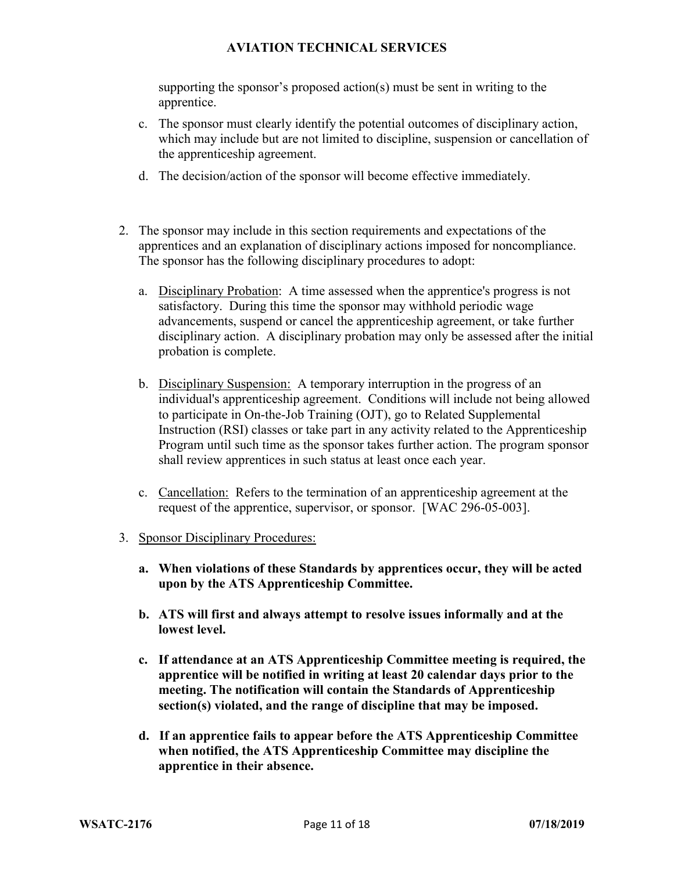supporting the sponsor's proposed action(s) must be sent in writing to the apprentice.

- c. The sponsor must clearly identify the potential outcomes of disciplinary action, which may include but are not limited to discipline, suspension or cancellation of the apprenticeship agreement.
- d. The decision/action of the sponsor will become effective immediately.
- 2. The sponsor may include in this section requirements and expectations of the apprentices and an explanation of disciplinary actions imposed for noncompliance. The sponsor has the following disciplinary procedures to adopt:
	- a. Disciplinary Probation: A time assessed when the apprentice's progress is not satisfactory. During this time the sponsor may withhold periodic wage advancements, suspend or cancel the apprenticeship agreement, or take further disciplinary action. A disciplinary probation may only be assessed after the initial probation is complete.
	- b. Disciplinary Suspension: A temporary interruption in the progress of an individual's apprenticeship agreement. Conditions will include not being allowed to participate in On-the-Job Training (OJT), go to Related Supplemental Instruction (RSI) classes or take part in any activity related to the Apprenticeship Program until such time as the sponsor takes further action. The program sponsor shall review apprentices in such status at least once each year.
	- c. Cancellation: Refers to the termination of an apprenticeship agreement at the request of the apprentice, supervisor, or sponsor. [WAC 296-05-003].
- 3. Sponsor Disciplinary Procedures:
	- **a. When violations of these Standards by apprentices occur, they will be acted upon by the ATS Apprenticeship Committee.**
	- **b. ATS will first and always attempt to resolve issues informally and at the lowest level.**
	- **c. If attendance at an ATS Apprenticeship Committee meeting is required, the apprentice will be notified in writing at least 20 calendar days prior to the meeting. The notification will contain the Standards of Apprenticeship section(s) violated, and the range of discipline that may be imposed.**
	- **d. If an apprentice fails to appear before the ATS Apprenticeship Committee when notified, the ATS Apprenticeship Committee may discipline the apprentice in their absence.**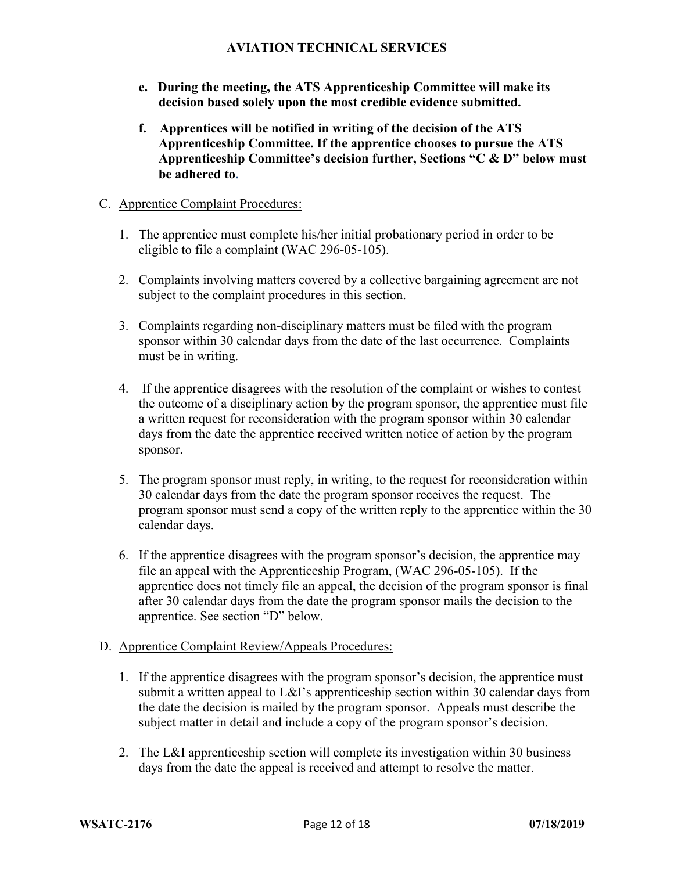- **e. During the meeting, the ATS Apprenticeship Committee will make its decision based solely upon the most credible evidence submitted.**
- **f. Apprentices will be notified in writing of the decision of the ATS Apprenticeship Committee. If the apprentice chooses to pursue the ATS Apprenticeship Committee's decision further, Sections "C & D" below must be adhered to.**

#### C. Apprentice Complaint Procedures:

- 1. The apprentice must complete his/her initial probationary period in order to be eligible to file a complaint (WAC 296-05-105).
- 2. Complaints involving matters covered by a collective bargaining agreement are not subject to the complaint procedures in this section.
- 3. Complaints regarding non-disciplinary matters must be filed with the program sponsor within 30 calendar days from the date of the last occurrence. Complaints must be in writing.
- 4. If the apprentice disagrees with the resolution of the complaint or wishes to contest the outcome of a disciplinary action by the program sponsor, the apprentice must file a written request for reconsideration with the program sponsor within 30 calendar days from the date the apprentice received written notice of action by the program sponsor.
- 5. The program sponsor must reply, in writing, to the request for reconsideration within 30 calendar days from the date the program sponsor receives the request. The program sponsor must send a copy of the written reply to the apprentice within the 30 calendar days.
- 6. If the apprentice disagrees with the program sponsor's decision, the apprentice may file an appeal with the Apprenticeship Program, (WAC 296-05-105). If the apprentice does not timely file an appeal, the decision of the program sponsor is final after 30 calendar days from the date the program sponsor mails the decision to the apprentice. See section "D" below.

#### D. Apprentice Complaint Review/Appeals Procedures:

- 1. If the apprentice disagrees with the program sponsor's decision, the apprentice must submit a written appeal to L&I's apprenticeship section within 30 calendar days from the date the decision is mailed by the program sponsor. Appeals must describe the subject matter in detail and include a copy of the program sponsor's decision.
- 2. The L&I apprenticeship section will complete its investigation within 30 business days from the date the appeal is received and attempt to resolve the matter.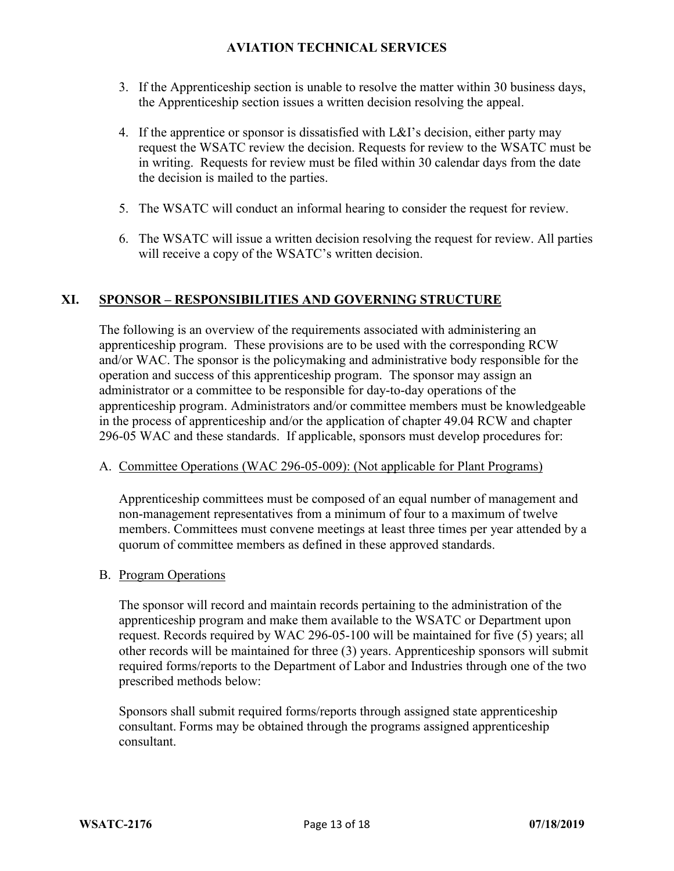- 3. If the Apprenticeship section is unable to resolve the matter within 30 business days, the Apprenticeship section issues a written decision resolving the appeal.
- 4. If the apprentice or sponsor is dissatisfied with L&I's decision, either party may request the WSATC review the decision. Requests for review to the WSATC must be in writing. Requests for review must be filed within 30 calendar days from the date the decision is mailed to the parties.
- 5. The WSATC will conduct an informal hearing to consider the request for review.
- 6. The WSATC will issue a written decision resolving the request for review. All parties will receive a copy of the WSATC's written decision.

### **XI. SPONSOR – RESPONSIBILITIES AND GOVERNING STRUCTURE**

The following is an overview of the requirements associated with administering an apprenticeship program. These provisions are to be used with the corresponding RCW and/or WAC. The sponsor is the policymaking and administrative body responsible for the operation and success of this apprenticeship program. The sponsor may assign an administrator or a committee to be responsible for day-to-day operations of the apprenticeship program. Administrators and/or committee members must be knowledgeable in the process of apprenticeship and/or the application of chapter 49.04 RCW and chapter 296-05 WAC and these standards. If applicable, sponsors must develop procedures for:

#### A. Committee Operations (WAC 296-05-009): (Not applicable for Plant Programs)

Apprenticeship committees must be composed of an equal number of management and non-management representatives from a minimum of four to a maximum of twelve members. Committees must convene meetings at least three times per year attended by a quorum of committee members as defined in these approved standards.

#### B. Program Operations

The sponsor will record and maintain records pertaining to the administration of the apprenticeship program and make them available to the WSATC or Department upon request. Records required by WAC 296-05-100 will be maintained for five (5) years; all other records will be maintained for three (3) years. Apprenticeship sponsors will submit required forms/reports to the Department of Labor and Industries through one of the two prescribed methods below:

Sponsors shall submit required forms/reports through assigned state apprenticeship consultant. Forms may be obtained through the programs assigned apprenticeship consultant.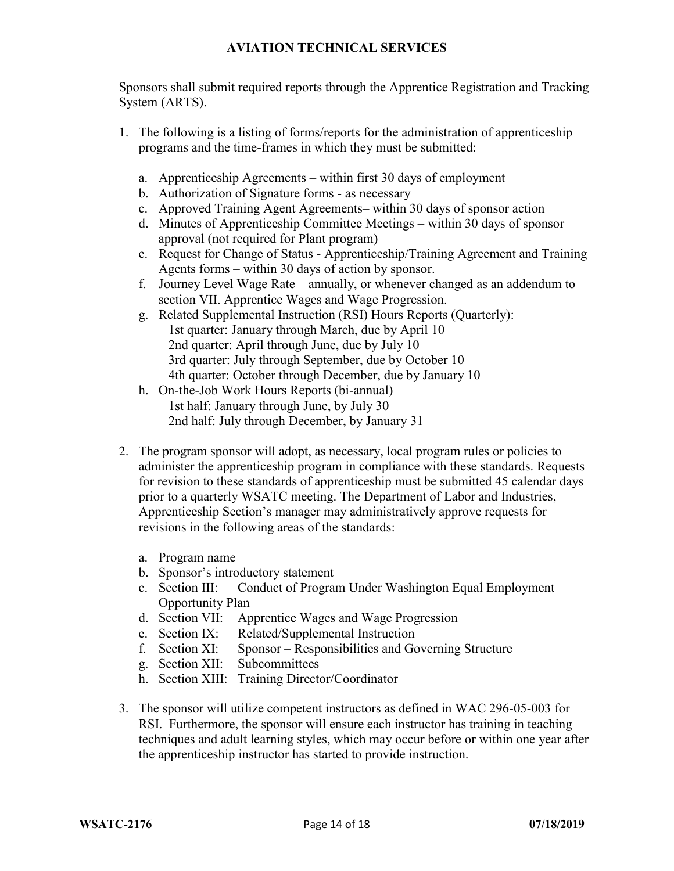Sponsors shall submit required reports through the Apprentice Registration and Tracking System (ARTS).

- 1. The following is a listing of forms/reports for the administration of apprenticeship programs and the time-frames in which they must be submitted:
	- a. Apprenticeship Agreements within first 30 days of employment
	- b. Authorization of Signature forms as necessary
	- c. Approved Training Agent Agreements– within 30 days of sponsor action
	- d. Minutes of Apprenticeship Committee Meetings within 30 days of sponsor approval (not required for Plant program)
	- e. Request for Change of Status Apprenticeship/Training Agreement and Training Agents forms – within 30 days of action by sponsor.
	- f. Journey Level Wage Rate annually, or whenever changed as an addendum to section VII. Apprentice Wages and Wage Progression.
	- g. Related Supplemental Instruction (RSI) Hours Reports (Quarterly): 1st quarter: January through March, due by April 10 2nd quarter: April through June, due by July 10 3rd quarter: July through September, due by October 10 4th quarter: October through December, due by January 10
	- h. On-the-Job Work Hours Reports (bi-annual) 1st half: January through June, by July 30 2nd half: July through December, by January 31
- 2. The program sponsor will adopt, as necessary, local program rules or policies to administer the apprenticeship program in compliance with these standards. Requests for revision to these standards of apprenticeship must be submitted 45 calendar days prior to a quarterly WSATC meeting. The Department of Labor and Industries, Apprenticeship Section's manager may administratively approve requests for revisions in the following areas of the standards:
	- a. Program name
	- b. Sponsor's introductory statement
	- c. Section III: Conduct of Program Under Washington Equal Employment Opportunity Plan
	- d. Section VII: Apprentice Wages and Wage Progression<br>e. Section IX: Related/Supplemental Instruction
	- Related/Supplemental Instruction
	- f. Section XI: Sponsor Responsibilities and Governing Structure
	- g. Section XII: Subcommittees
	- h. Section XIII: Training Director/Coordinator
- 3. The sponsor will utilize competent instructors as defined in WAC 296-05-003 for RSI. Furthermore, the sponsor will ensure each instructor has training in teaching techniques and adult learning styles, which may occur before or within one year after the apprenticeship instructor has started to provide instruction.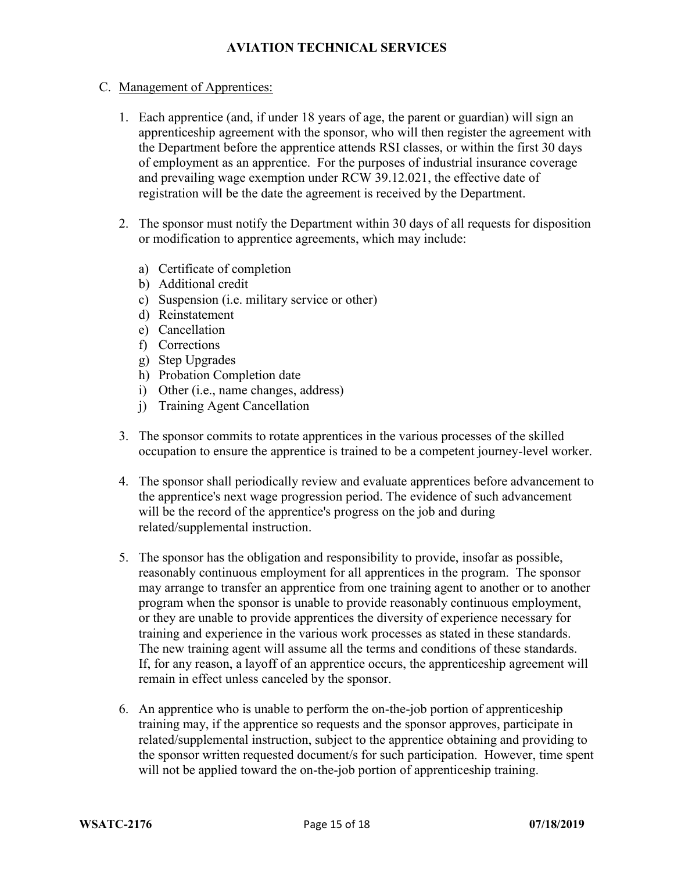### C. Management of Apprentices:

- 1. Each apprentice (and, if under 18 years of age, the parent or guardian) will sign an apprenticeship agreement with the sponsor, who will then register the agreement with the Department before the apprentice attends RSI classes, or within the first 30 days of employment as an apprentice. For the purposes of industrial insurance coverage and prevailing wage exemption under RCW 39.12.021, the effective date of registration will be the date the agreement is received by the Department.
- 2. The sponsor must notify the Department within 30 days of all requests for disposition or modification to apprentice agreements, which may include:
	- a) Certificate of completion
	- b) Additional credit
	- c) Suspension (i.e. military service or other)
	- d) Reinstatement
	- e) Cancellation
	- f) Corrections
	- g) Step Upgrades
	- h) Probation Completion date
	- i) Other (i.e., name changes, address)
	- j) Training Agent Cancellation
- 3. The sponsor commits to rotate apprentices in the various processes of the skilled occupation to ensure the apprentice is trained to be a competent journey-level worker.
- 4. The sponsor shall periodically review and evaluate apprentices before advancement to the apprentice's next wage progression period. The evidence of such advancement will be the record of the apprentice's progress on the job and during related/supplemental instruction.
- 5. The sponsor has the obligation and responsibility to provide, insofar as possible, reasonably continuous employment for all apprentices in the program. The sponsor may arrange to transfer an apprentice from one training agent to another or to another program when the sponsor is unable to provide reasonably continuous employment, or they are unable to provide apprentices the diversity of experience necessary for training and experience in the various work processes as stated in these standards. The new training agent will assume all the terms and conditions of these standards. If, for any reason, a layoff of an apprentice occurs, the apprenticeship agreement will remain in effect unless canceled by the sponsor.
- 6. An apprentice who is unable to perform the on-the-job portion of apprenticeship training may, if the apprentice so requests and the sponsor approves, participate in related/supplemental instruction, subject to the apprentice obtaining and providing to the sponsor written requested document/s for such participation. However, time spent will not be applied toward the on-the-job portion of apprenticeship training.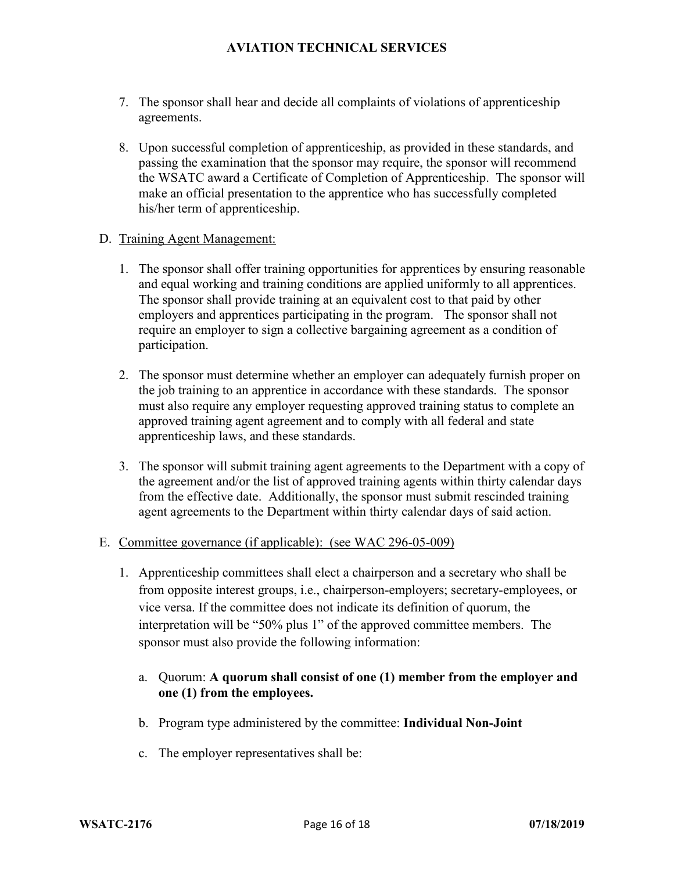- 7. The sponsor shall hear and decide all complaints of violations of apprenticeship agreements.
- 8. Upon successful completion of apprenticeship, as provided in these standards, and passing the examination that the sponsor may require, the sponsor will recommend the WSATC award a Certificate of Completion of Apprenticeship. The sponsor will make an official presentation to the apprentice who has successfully completed his/her term of apprenticeship.

#### D. Training Agent Management:

- 1. The sponsor shall offer training opportunities for apprentices by ensuring reasonable and equal working and training conditions are applied uniformly to all apprentices. The sponsor shall provide training at an equivalent cost to that paid by other employers and apprentices participating in the program. The sponsor shall not require an employer to sign a collective bargaining agreement as a condition of participation.
- 2. The sponsor must determine whether an employer can adequately furnish proper on the job training to an apprentice in accordance with these standards. The sponsor must also require any employer requesting approved training status to complete an approved training agent agreement and to comply with all federal and state apprenticeship laws, and these standards.
- 3. The sponsor will submit training agent agreements to the Department with a copy of the agreement and/or the list of approved training agents within thirty calendar days from the effective date. Additionally, the sponsor must submit rescinded training agent agreements to the Department within thirty calendar days of said action.

#### E. Committee governance (if applicable): (see WAC 296-05-009)

- 1. Apprenticeship committees shall elect a chairperson and a secretary who shall be from opposite interest groups, i.e., chairperson-employers; secretary-employees, or vice versa. If the committee does not indicate its definition of quorum, the interpretation will be "50% plus 1" of the approved committee members. The sponsor must also provide the following information:
	- a. Quorum: **A quorum shall consist of one (1) member from the employer and one (1) from the employees.**
	- b. Program type administered by the committee: **Individual Non-Joint**
	- c. The employer representatives shall be: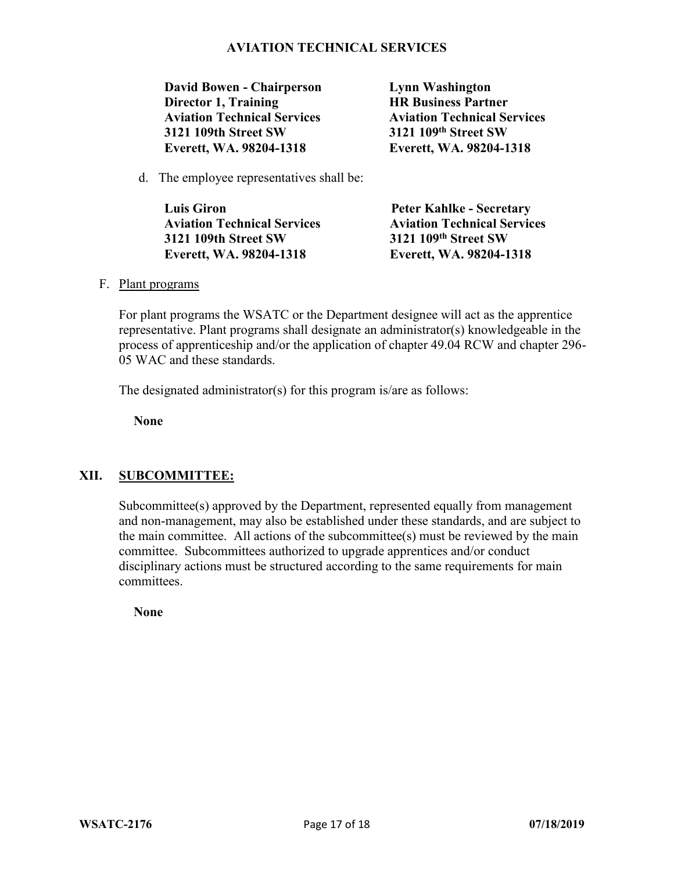**David Bowen - Chairperson Director 1, Training Aviation Technical Services 3121 109th Street SW Everett, WA. 98204-1318**

**Lynn Washington HR Business Partner Aviation Technical Services 3121 109th Street SW Everett, WA. 98204-1318**

d. The employee representatives shall be:

| <b>Luis Giron</b>                  | <b>Peter Kahlke - Secretary</b>    |
|------------------------------------|------------------------------------|
| <b>Aviation Technical Services</b> | <b>Aviation Technical Services</b> |
| 3121 109th Street SW               | 3121 109th Street SW               |
| Everett, WA. 98204-1318            | Everett, WA. 98204-1318            |

F. Plant programs

For plant programs the WSATC or the Department designee will act as the apprentice representative. Plant programs shall designate an administrator(s) knowledgeable in the process of apprenticeship and/or the application of chapter 49.04 RCW and chapter 296- 05 WAC and these standards.

The designated administrator(s) for this program is/are as follows:

**None**

#### **XII. SUBCOMMITTEE:**

Subcommittee(s) approved by the Department, represented equally from management and non-management, may also be established under these standards, and are subject to the main committee. All actions of the subcommittee(s) must be reviewed by the main committee. Subcommittees authorized to upgrade apprentices and/or conduct disciplinary actions must be structured according to the same requirements for main committees.

**None**